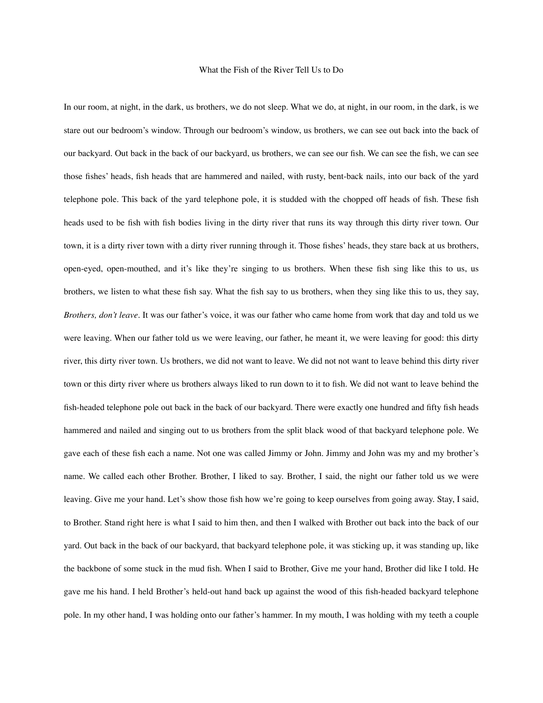## What the Fish of the River Tell Us to Do

In our room, at night, in the dark, us brothers, we do not sleep. What we do, at night, in our room, in the dark, is we stare out our bedroom's window. Through our bedroom's window, us brothers, we can see out back into the back of our backyard. Out back in the back of our backyard, us brothers, we can see our fish. We can see the fish, we can see those fishes' heads, fish heads that are hammered and nailed, with rusty, bent-back nails, into our back of the yard telephone pole. This back of the yard telephone pole, it is studded with the chopped off heads of fish. These fish heads used to be fish with fish bodies living in the dirty river that runs its way through this dirty river town. Our town, it is a dirty river town with a dirty river running through it. Those fishes' heads, they stare back at us brothers, open-eyed, open-mouthed, and it's like they're singing to us brothers. When these fish sing like this to us, us brothers, we listen to what these fish say. What the fish say to us brothers, when they sing like this to us, they say, *Brothers, don't leave.* It was our father's voice, it was our father who came home from work that day and told us we were leaving. When our father told us we were leaving, our father, he meant it, we were leaving for good: this dirty river, this dirty river town. Us brothers, we did not want to leave. We did not not want to leave behind this dirty river town or this dirty river where us brothers always liked to run down to it to fish. We did not want to leave behind the fish-headed telephone pole out back in the back of our backyard. There were exactly one hundred and fifty fish heads hammered and nailed and singing out to us brothers from the split black wood of that backyard telephone pole. We gave each of these fish each a name. Not one was called Jimmy or John. Jimmy and John was my and my brother's name. We called each other Brother. Brother, I liked to say. Brother, I said, the night our father told us we were leaving. Give me your hand. Let's show those fish how we're going to keep ourselves from going away. Stay, I said, to Brother. Stand right here is what I said to him then, and then I walked with Brother out back into the back of our yard. Out back in the back of our backyard, that backyard telephone pole, it was sticking up, it was standing up, like the backbone of some stuck in the mud fish. When I said to Brother, Give me your hand, Brother did like I told. He gave me his hand. I held Brother's held-out hand back up against the wood of this fish-headed backyard telephone pole. In my other hand, I was holding onto our father's hammer. In my mouth, I was holding with my teeth a couple